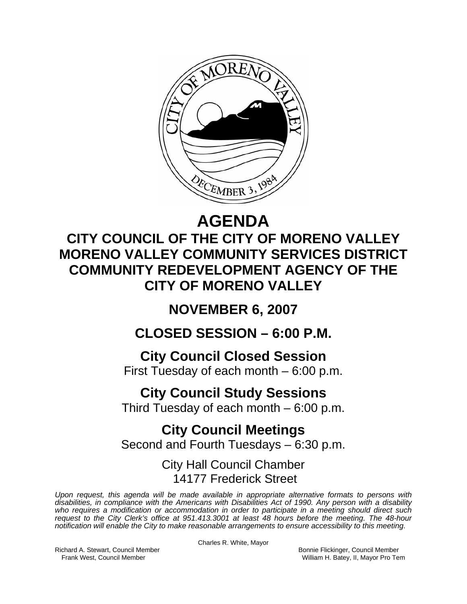

# **AGENDA CITY COUNCIL OF THE CITY OF MORENO VALLEY MORENO VALLEY COMMUNITY SERVICES DISTRICT COMMUNITY REDEVELOPMENT AGENCY OF THE CITY OF MORENO VALLEY**

# **NOVEMBER 6, 2007**

## **CLOSED SESSION – 6:00 P.M.**

## **City Council Closed Session**

First Tuesday of each month – 6:00 p.m.

## **City Council Study Sessions**

Third Tuesday of each month  $-6:00$  p.m.

## **City Council Meetings**

Second and Fourth Tuesdays – 6:30 p.m.

### City Hall Council Chamber 14177 Frederick Street

*Upon request, this agenda will be made available in appropriate alternative formats to persons with disabilities, in compliance with the Americans with Disabilities Act of 1990. Any person with a disability who requires a modification or accommodation in order to participate in a meeting should direct such request to the City Clerk's office at 951.413.3001 at least 48 hours before the meeting. The 48-hour notification will enable the City to make reasonable arrangements to ensure accessibility to this meeting.* 

Richard A. Stewart, Council Member **Bonnie Flickinger, Council Member** Bonnie Flickinger, Council Member

Charles R. White, Mayor

Frank West, Council Member Network and Society And Milliam H. Batey, II, Mayor Pro Tem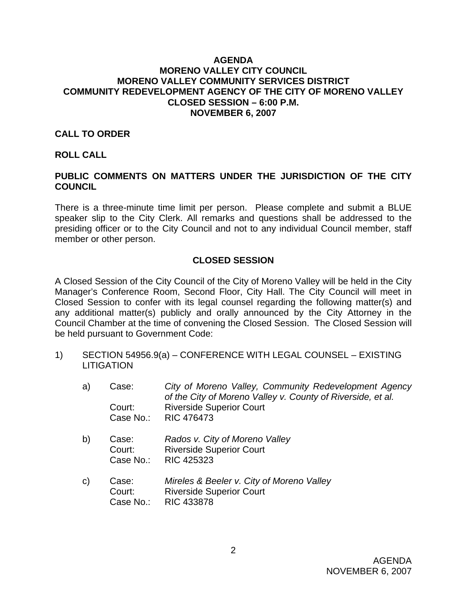#### **AGENDA MORENO VALLEY CITY COUNCIL MORENO VALLEY COMMUNITY SERVICES DISTRICT COMMUNITY REDEVELOPMENT AGENCY OF THE CITY OF MORENO VALLEY CLOSED SESSION – 6:00 P.M. NOVEMBER 6, 2007**

#### **CALL TO ORDER**

#### **ROLL CALL**

### **PUBLIC COMMENTS ON MATTERS UNDER THE JURISDICTION OF THE CITY COUNCIL**

There is a three-minute time limit per person. Please complete and submit a BLUE speaker slip to the City Clerk. All remarks and questions shall be addressed to the presiding officer or to the City Council and not to any individual Council member, staff member or other person.

#### **CLOSED SESSION**

A Closed Session of the City Council of the City of Moreno Valley will be held in the City Manager's Conference Room, Second Floor, City Hall. The City Council will meet in Closed Session to confer with its legal counsel regarding the following matter(s) and any additional matter(s) publicly and orally announced by the City Attorney in the Council Chamber at the time of convening the Closed Session. The Closed Session will be held pursuant to Government Code:

- 1) SECTION 54956.9(a) CONFERENCE WITH LEGAL COUNSEL EXISTING **LITIGATION** 
	- a) Case: *City of Moreno Valley, Community Redevelopment Agency of the City of Moreno Valley v. County of Riverside, et al.*  Court: Riverside Superior Court Case No.: RIC 476473
	- b) Case: *Rados v. City of Moreno Valley* Court: Riverside Superior Court Case No.: RIC 425323
	- c) Case: *Mireles & Beeler v. City of Moreno Valley*  Court: Riverside Superior Court Case No.: RIC 433878